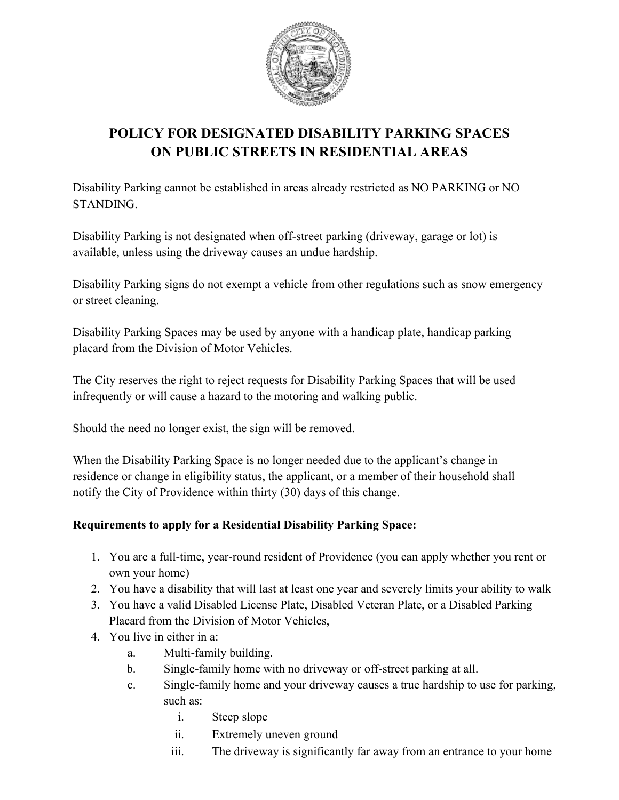

# **POLICY FOR DESIGNATED DISABILITY PARKING SPACES ON PUBLIC STREETS IN RESIDENTIAL AREAS**

Disability Parking cannot be established in areas already restricted as NO PARKING or NO STANDING.

Disability Parking is not designated when off-street parking (driveway, garage or lot) is available, unless using the driveway causes an undue hardship.

Disability Parking signs do not exempt a vehicle from other regulations such as snow emergency or street cleaning.

Disability Parking Spaces may be used by anyone with a handicap plate, handicap parking placard from the Division of Motor Vehicles.

The City reserves the right to reject requests for Disability Parking Spaces that will be used infrequently or will cause a hazard to the motoring and walking public.

Should the need no longer exist, the sign will be removed.

When the Disability Parking Space is no longer needed due to the applicant's change in residence or change in eligibility status, the applicant, or a member of their household shall notify the City of Providence within thirty (30) days of this change.

## **Requirements to apply for a Residential Disability Parking Space:**

- 1. You are a full-time, year-round resident of Providence (you can apply whether you rent or own your home)
- 2. You have a disability that will last at least one year and severely limits your ability to walk
- 3. You have a valid Disabled License Plate, Disabled Veteran Plate, or a Disabled Parking Placard from the Division of Motor Vehicles,
- 4. You live in either in a:
	- a. Multi-family building.
	- b. Single-family home with no driveway or off-street parking at all.
	- c. Single-family home and your driveway causes a true hardship to use for parking, such as:
		- i. Steep slope
		- ii. Extremely uneven ground
		- iii. The driveway is significantly far away from an entrance to your home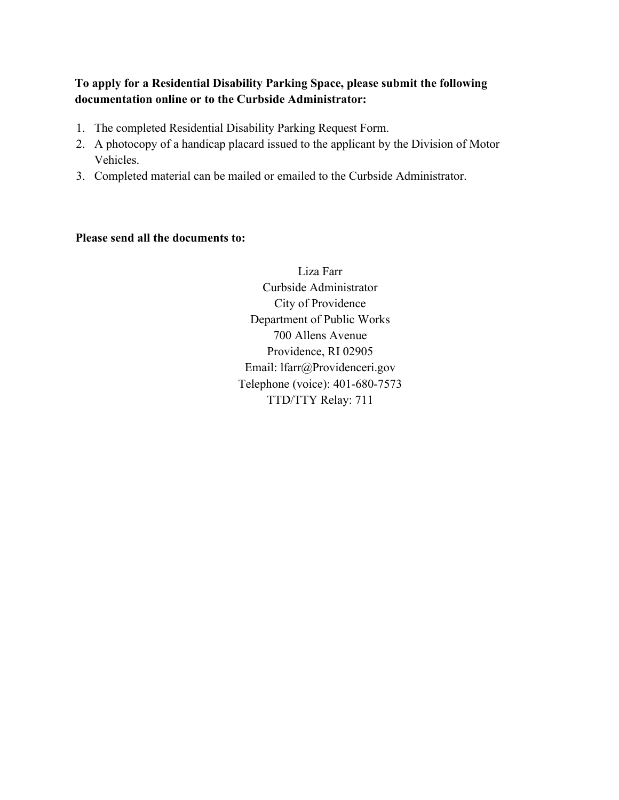## **To apply for a Residential Disability Parking Space, please submit the following documentation online or to the Curbside Administrator:**

- 1. The completed Residential Disability Parking Request Form.
- 2. A photocopy of a handicap placard issued to the applicant by the Division of Motor Vehicles.
- 3. Completed material can be mailed or emailed to the Curbside Administrator.

#### **Please send all the documents to:**

Liza Farr Curbside Administrator City of Providence Department of Public Works 700 Allens Avenue Providence, RI 02905 Email: lfarr@Providenceri.gov Telephone (voice): 401-680-7573 TTD/TTY Relay: 711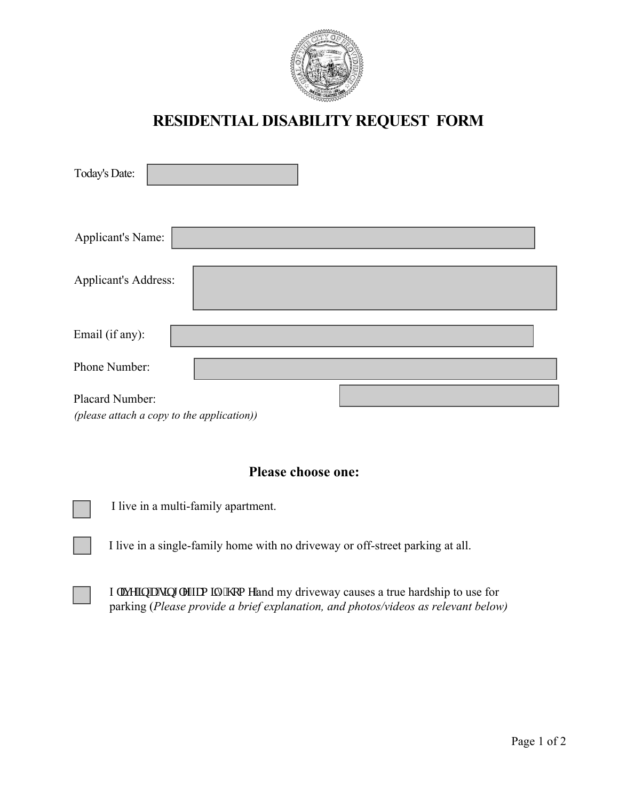

# **RESIDENTIAL DISABILITY REQUEST FORM**

| <b>Today's Date:</b>                                          |  |
|---------------------------------------------------------------|--|
| Applicant's Name:                                             |  |
| <b>Applicant's Address:</b>                                   |  |
| Email (if any):                                               |  |
| Phone Number:                                                 |  |
| Placard Number:<br>(please attach a copy to the application)) |  |

# **Please choose one:**

I live in a multi-family apartment.

I live in a single-family home with no driveway or off-street parking at all.

I rkxg'lp''c'ulpi rg/hco kn{'j qo g'and my driveway causes a true hardship to use for parking (*Please provide a brief explanation, and photos/videos as relevant below)*